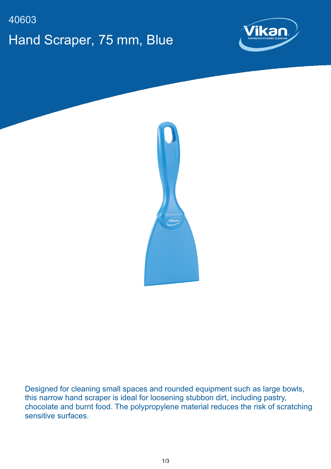## 40603 Hand Scraper, 75 mm, Blue





Designed for cleaning small spaces and rounded equipment such as large bowls, this narrow hand scraper is ideal for loosening stubbon dirt, including pastry, chocolate and burnt food. The polypropylene material reduces the risk of scratching sensitive surfaces.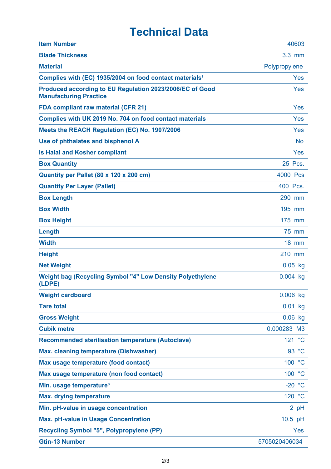## **Technical Data**

| <b>Item Number</b>                                                                        | 40603         |
|-------------------------------------------------------------------------------------------|---------------|
| <b>Blade Thickness</b>                                                                    | 3.3 mm        |
| <b>Material</b>                                                                           | Polypropylene |
| Complies with (EC) 1935/2004 on food contact materials <sup>1</sup>                       | Yes           |
| Produced according to EU Regulation 2023/2006/EC of Good<br><b>Manufacturing Practice</b> | Yes           |
| <b>FDA compliant raw material (CFR 21)</b>                                                | Yes           |
| Complies with UK 2019 No. 704 on food contact materials                                   | Yes           |
| Meets the REACH Regulation (EC) No. 1907/2006                                             | Yes           |
| Use of phthalates and bisphenol A                                                         | <b>No</b>     |
| <b>Is Halal and Kosher compliant</b>                                                      | Yes           |
| <b>Box Quantity</b>                                                                       | 25 Pcs.       |
| Quantity per Pallet (80 x 120 x 200 cm)                                                   | 4000 Pcs      |
| <b>Quantity Per Layer (Pallet)</b>                                                        | 400 Pcs.      |
| <b>Box Length</b>                                                                         | 290 mm        |
| <b>Box Width</b>                                                                          | 195 mm        |
| <b>Box Height</b>                                                                         | 175 mm        |
| Length                                                                                    | 75 mm         |
| <b>Width</b>                                                                              | $18$ mm       |
| <b>Height</b>                                                                             | 210 mm        |
| <b>Net Weight</b>                                                                         | $0.05$ kg     |
| Weight bag (Recycling Symbol "4" Low Density Polyethylene<br>(LDPE)                       | $0.004$ kg    |
| <b>Weight cardboard</b>                                                                   | $0.006$ kg    |
| <b>Tare total</b>                                                                         | $0.01$ kg     |
| <b>Gross Weight</b>                                                                       | $0.06$ kg     |
| <b>Cubik metre</b>                                                                        | 0.000283 M3   |
| <b>Recommended sterilisation temperature (Autoclave)</b>                                  | 121 °C        |
| Max. cleaning temperature (Dishwasher)                                                    | 93 °C         |
| Max usage temperature (food contact)                                                      | 100 °C        |
| Max usage temperature (non food contact)                                                  | 100 °C        |
| Min. usage temperature <sup>3</sup>                                                       | $-20 °C$      |
| <b>Max. drying temperature</b>                                                            | 120 °C        |
| Min. pH-value in usage concentration                                                      | 2 pH          |
| <b>Max. pH-value in Usage Concentration</b>                                               | 10.5 pH       |
| <b>Recycling Symbol "5", Polypropylene (PP)</b>                                           | Yes           |
| <b>Gtin-13 Number</b>                                                                     | 5705020406034 |